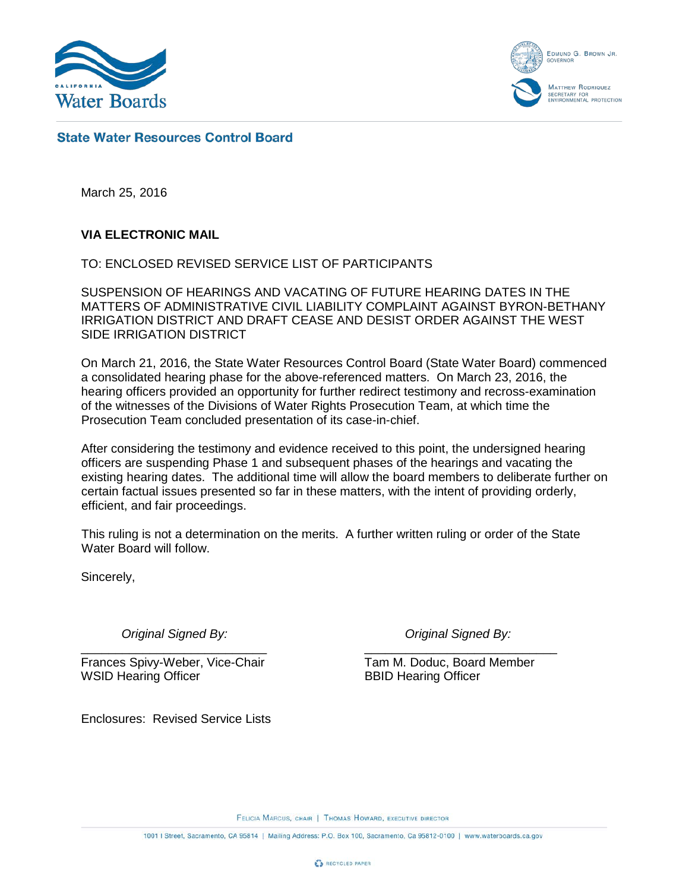

EDMUND G. BROWN JR. **OVERNO MATTHEW RODRIQUEZ** ETARY FOR<br>IONMENTAL PROTECTION

# **State Water Resources Control Board**

March 25, 2016

## **VIA ELECTRONIC MAIL**

TO: ENCLOSED REVISED SERVICE LIST OF PARTICIPANTS

SUSPENSION OF HEARINGS AND VACATING OF FUTURE HEARING DATES IN THE MATTERS OF ADMINISTRATIVE CIVIL LIABILITY COMPLAINT AGAINST BYRON-BETHANY IRRIGATION DISTRICT AND DRAFT CEASE AND DESIST ORDER AGAINST THE WEST SIDE IRRIGATION DISTRICT

On March 21, 2016, the State Water Resources Control Board (State Water Board) commenced a consolidated hearing phase for the above-referenced matters. On March 23, 2016, the hearing officers provided an opportunity for further redirect testimony and recross-examination of the witnesses of the Divisions of Water Rights Prosecution Team, at which time the Prosecution Team concluded presentation of its case-in-chief.

After considering the testimony and evidence received to this point, the undersigned hearing officers are suspending Phase 1 and subsequent phases of the hearings and vacating the existing hearing dates. The additional time will allow the board members to deliberate further on certain factual issues presented so far in these matters, with the intent of providing orderly, efficient, and fair proceedings.

This ruling is not a determination on the merits. A further written ruling or order of the State Water Board will follow.

Sincerely,

*Original Signed By: Original Signed By:*

Frances Spivy-Weber, Vice-Chair Tam M. Doduc, Board Member WSID Hearing Officer BBID Hearing Officer

Enclosures: Revised Service Lists

\_\_\_\_\_\_\_\_\_\_\_\_\_\_\_\_\_\_\_\_\_\_\_\_\_\_\_ \_\_\_\_\_\_\_\_\_\_\_\_\_\_\_\_\_\_\_\_\_\_\_\_\_\_\_\_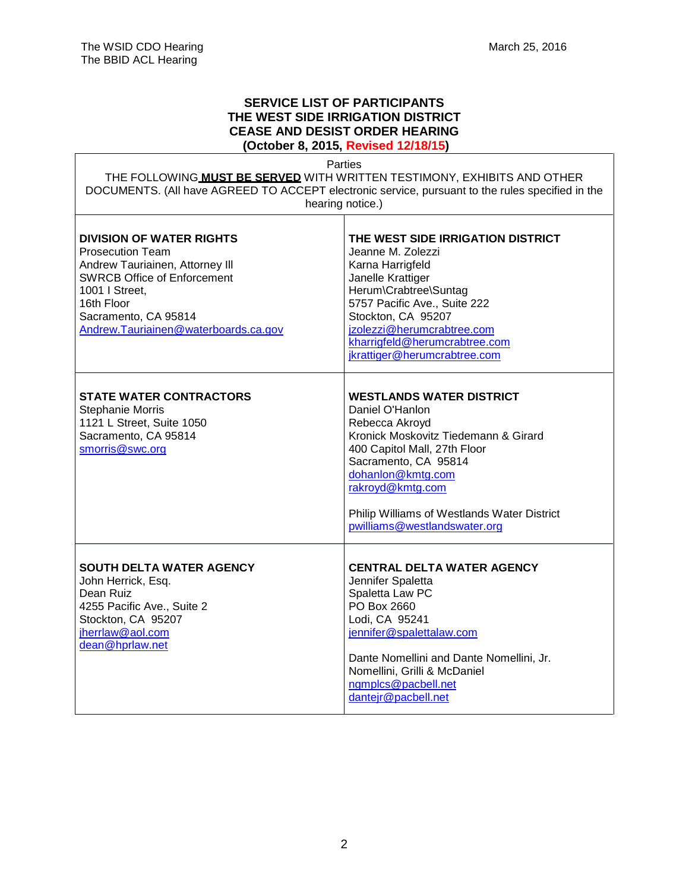### **SERVICE LIST OF PARTICIPANTS THE WEST SIDE IRRIGATION DISTRICT CEASE AND DESIST ORDER HEARING (October 8, 2015, Revised 12/18/15)**

Parties

THE FOLLOWING **MUST BE SERVED** WITH WRITTEN TESTIMONY, EXHIBITS AND OTHER DOCUMENTS. (All have AGREED TO ACCEPT electronic service, pursuant to the rules specified in the hearing notice.)  $\top$ 

| <b>DIVISION OF WATER RIGHTS</b><br><b>Prosecution Team</b><br>Andrew Tauriainen, Attorney III<br><b>SWRCB Office of Enforcement</b><br>1001   Street,<br>16th Floor<br>Sacramento, CA 95814<br>Andrew.Tauriainen@waterboards.ca.gov | THE WEST SIDE IRRIGATION DISTRICT<br>Jeanne M. Zolezzi<br>Karna Harrigfeld<br>Janelle Krattiger<br>Herum\Crabtree\Suntag<br>5757 Pacific Ave., Suite 222<br>Stockton, CA 95207<br>jzolezzi@herumcrabtree.com<br>kharrigfeld@herumcrabtree.com<br>jkrattiger@herumcrabtree.com                |
|-------------------------------------------------------------------------------------------------------------------------------------------------------------------------------------------------------------------------------------|----------------------------------------------------------------------------------------------------------------------------------------------------------------------------------------------------------------------------------------------------------------------------------------------|
| <b>STATE WATER CONTRACTORS</b><br>Stephanie Morris<br>1121 L Street, Suite 1050<br>Sacramento, CA 95814<br>smorris@swc.org                                                                                                          | <b>WESTLANDS WATER DISTRICT</b><br>Daniel O'Hanlon<br>Rebecca Akroyd<br>Kronick Moskovitz Tiedemann & Girard<br>400 Capitol Mall, 27th Floor<br>Sacramento, CA 95814<br>dohanlon@kmtg.com<br>rakroyd@kmtg.com<br>Philip Williams of Westlands Water District<br>pwilliams@westlandswater.org |
| <b>SOUTH DELTA WATER AGENCY</b><br>John Herrick, Esq.<br>Dean Ruiz<br>4255 Pacific Ave., Suite 2<br>Stockton, CA 95207<br>jherrlaw@aol.com<br>dean@hprlaw.net                                                                       | <b>CENTRAL DELTA WATER AGENCY</b><br>Jennifer Spaletta<br>Spaletta Law PC<br>PO Box 2660<br>Lodi, CA 95241<br>jennifer@spalettalaw.com<br>Dante Nomellini and Dante Nomellini, Jr.<br>Nomellini, Grilli & McDaniel<br>ngmplcs@pacbell.net<br>dantejr@pacbell.net                             |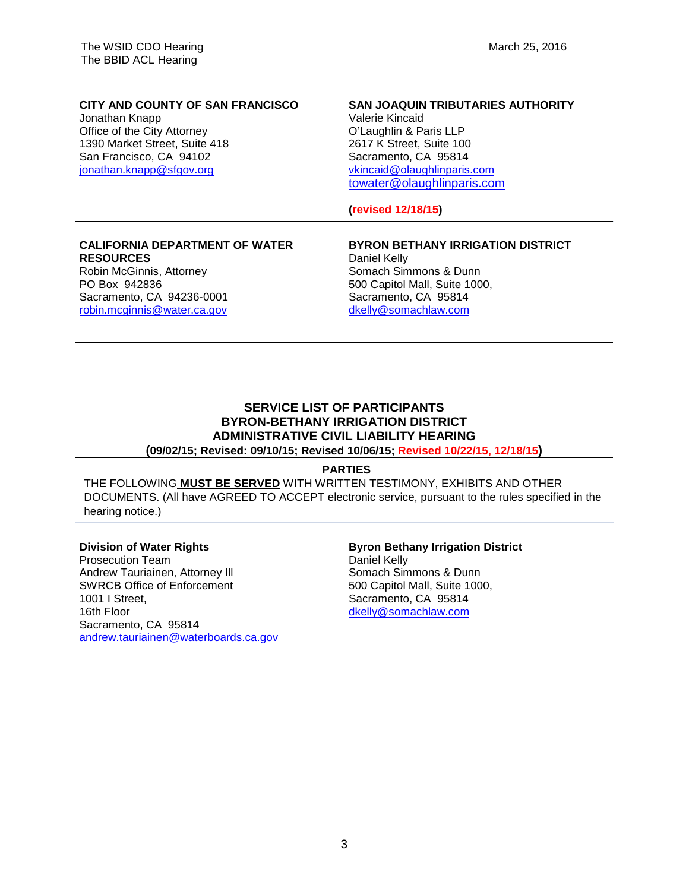| CITY AND COUNTY OF SAN FRANCISCO<br>Jonathan Knapp<br>Office of the City Attorney<br>1390 Market Street, Suite 418<br>San Francisco, CA 94102<br>jonathan.knapp@sfgov.org | <b>SAN JOAQUIN TRIBUTARIES AUTHORITY</b><br>Valerie Kincaid<br>O'Laughlin & Paris LLP<br>2617 K Street, Suite 100<br>Sacramento, CA 95814<br>vkincaid@olaughlinparis.com<br>towater@olaughlinparis.com<br>(revised 12/18/15) |
|---------------------------------------------------------------------------------------------------------------------------------------------------------------------------|------------------------------------------------------------------------------------------------------------------------------------------------------------------------------------------------------------------------------|
| <b>CALIFORNIA DEPARTMENT OF WATER</b>                                                                                                                                     | <b>BYRON BETHANY IRRIGATION DISTRICT</b>                                                                                                                                                                                     |
| <b>RESOURCES</b>                                                                                                                                                          | Daniel Kelly                                                                                                                                                                                                                 |
| Robin McGinnis, Attorney                                                                                                                                                  | Somach Simmons & Dunn                                                                                                                                                                                                        |
| PO Box 942836                                                                                                                                                             | 500 Capitol Mall, Suite 1000,                                                                                                                                                                                                |
| Sacramento, CA 94236-0001                                                                                                                                                 | Sacramento, CA 95814                                                                                                                                                                                                         |
| robin.mcginnis@water.ca.gov                                                                                                                                               | dkelly@somachlaw.com                                                                                                                                                                                                         |

# **SERVICE LIST OF PARTICIPANTS BYRON-BETHANY IRRIGATION DISTRICT ADMINISTRATIVE CIVIL LIABILITY HEARING**

**(09/02/15; Revised: 09/10/15; Revised 10/06/15; Revised 10/22/15, 12/18/15)**

#### **PARTIES**

THE FOLLOWING **MUST BE SERVED** WITH WRITTEN TESTIMONY, EXHIBITS AND OTHER DOCUMENTS. (All have AGREED TO ACCEPT electronic service, pursuant to the rules specified in the hearing notice.)

Τ

| <b>Division of Water Rights</b>      | <b>Byron Bethany Irrigation District</b> |
|--------------------------------------|------------------------------------------|
| Prosecution Team                     | Daniel Kelly                             |
| Andrew Tauriainen, Attorney III      | Somach Simmons & Dunn                    |
| <b>SWRCB Office of Enforcement</b>   | 500 Capitol Mall, Suite 1000,            |
| l 1001 I Street.                     | Sacramento, CA 95814                     |
| l 16th Floor                         | dkelly@somachlaw.com                     |
| Sacramento, CA 95814                 |                                          |
| andrew.tauriainen@waterboards.ca.gov |                                          |
|                                      |                                          |